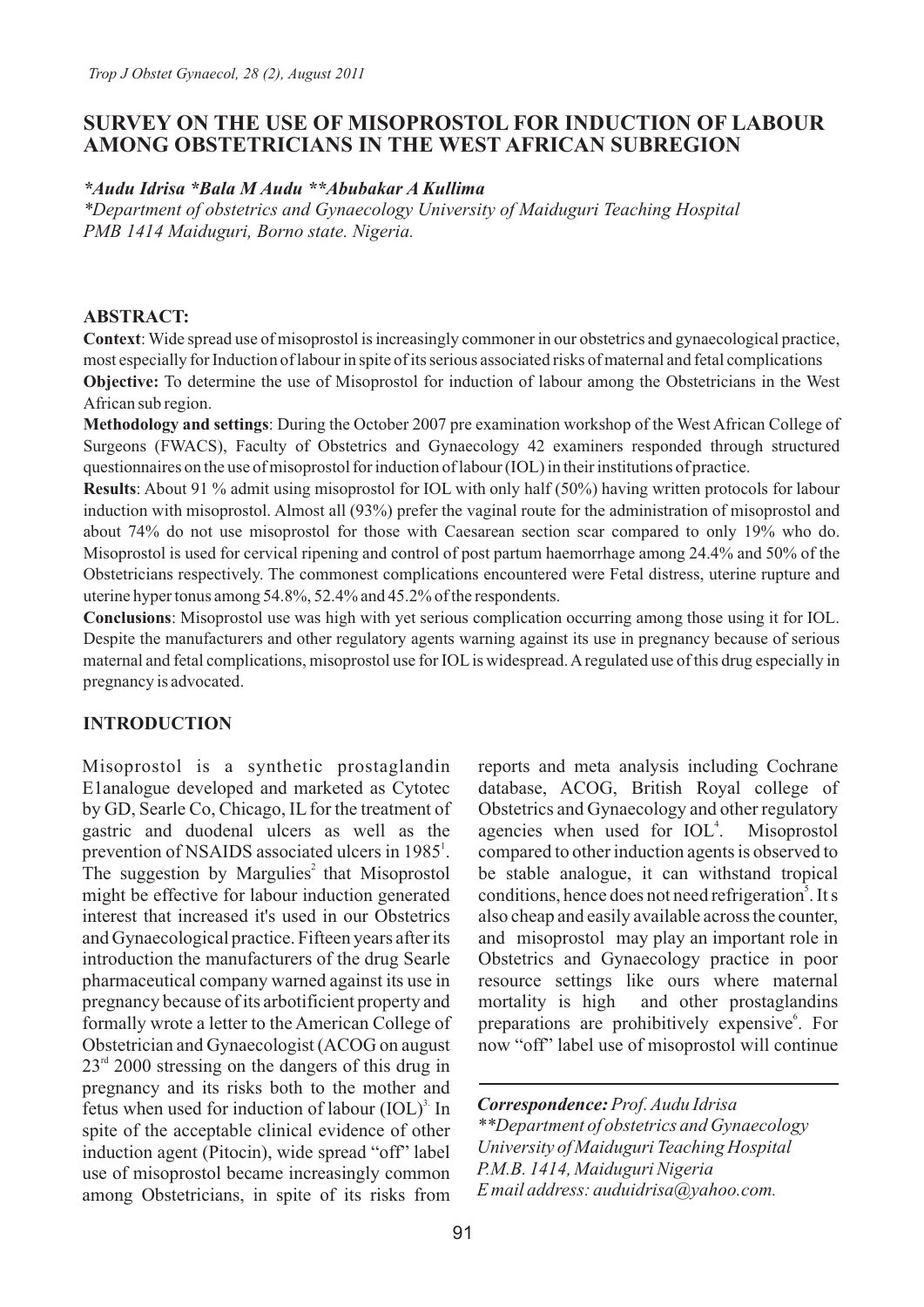# **SURVEY ON THE USE OF MISOPROSTOL FOR INDUCTION OF LABOUR AMONG OBSTETRICIANS IN THE WEST AFRICAN SUBREGION**

#### *\*Audu Idrisa \*Bala M Audu \*\*Abubakar A Kullima*

*\*Department of obstetrics and Gynaecology University of Maiduguri Teaching Hospital PMB 1414 Maiduguri, Borno state. Nigeria.*

### **ABSTRACT:**

**Context**: Wide spread use of misoprostol is increasingly commoner in our obstetrics and gynaecological practice, most especially for Induction of labour in spite of its serious associated risks of maternal and fetal complications **Objective:** To determine the use of Misoprostol for induction of labour among the Obstetricians in the West African sub region.

**Methodology and settings**: During the October 2007 pre examination workshop of the West African College of Surgeons (FWACS), Faculty of Obstetrics and Gynaecology 42 examiners responded through structured questionnaires on the use of misoprostol for induction of labour (IOL) in their institutions of practice.

**Results**: About 91 % admit using misoprostol for IOL with only half (50%) having written protocols for labour induction with misoprostol. Almost all (93%) prefer the vaginal route for the administration of misoprostol and about 74% do not use misoprostol for those with Caesarean section scar compared to only 19% who do. Misoprostol is used for cervical ripening and control of post partum haemorrhage among 24.4% and 50% of the Obstetricians respectively. The commonest complications encountered were Fetal distress, uterine rupture and uterine hyper tonus among 54.8%, 52.4% and 45.2% of the respondents.

**Conclusions**: Misoprostol use was high with yet serious complication occurring among those using it for IOL. Despite the manufacturers and other regulatory agents warning against its use in pregnancy because of serious maternal and fetal complications, misoprostol use for IOLis widespread. Aregulated use of this drug especially in pregnancy is advocated.

## **INTRODUCTION**

Misoprostol is a synthetic prostaglandin E1analogue developed and marketed as Cytotec by GD, Searle Co, Chicago, IL for the treatment of gastric and duodenal ulcers as well as the prevention of NSAIDS associated ulcers in 1985<sup>1</sup>. The suggestion by Margulies<sup>2</sup> that Misoprostol might be effective for labour induction generated interest that increased it's used in our Obstetrics and Gynaecological practice. Fifteen years after its introduction the manufacturers of the drug Searle pharmaceutical company warned against its use in pregnancy because of its arbotificient property and formally wrote a letter to the American College of Obstetrician and Gynaecologist (ACOG on august  $23<sup>rd</sup>$  2000 stressing on the dangers of this drug in pregnancy and its risks both to the mother and fetus when used for induction of labour  $(IOL)^3$  In spite of the acceptable clinical evidence of other induction agent (Pitocin), wide spread "off" label use of misoprostol became increasingly common among Obstetricians, in spite of its risks from

reports and meta analysis including Cochrane database, ACOG, British Royal college of Obstetrics and Gynaecology and other regulatory agencies when used for IOL<sup>4</sup>. Misoprostol compared to other induction agents is observed to be stable analogue, it can withstand tropical conditions, hence does not need refrigeration<sup>5</sup>. It s also cheap and easily available across the counter, and misoprostol may play an important role in Obstetrics and Gynaecology practice in poor resource settings like ours where maternal mortality is high and other prostaglandins preparations are prohibitively expensive<sup>6</sup>. For now "off" label use of misoprostol will continue

*Correspondence:Prof. Audu Idrisa \*\*Department of obstetrics and Gynaecology University of Maiduguri Teaching Hospital P.M.B. 1414, Maiduguri Nigeria E mail address: auduidrisa@yahoo.com.*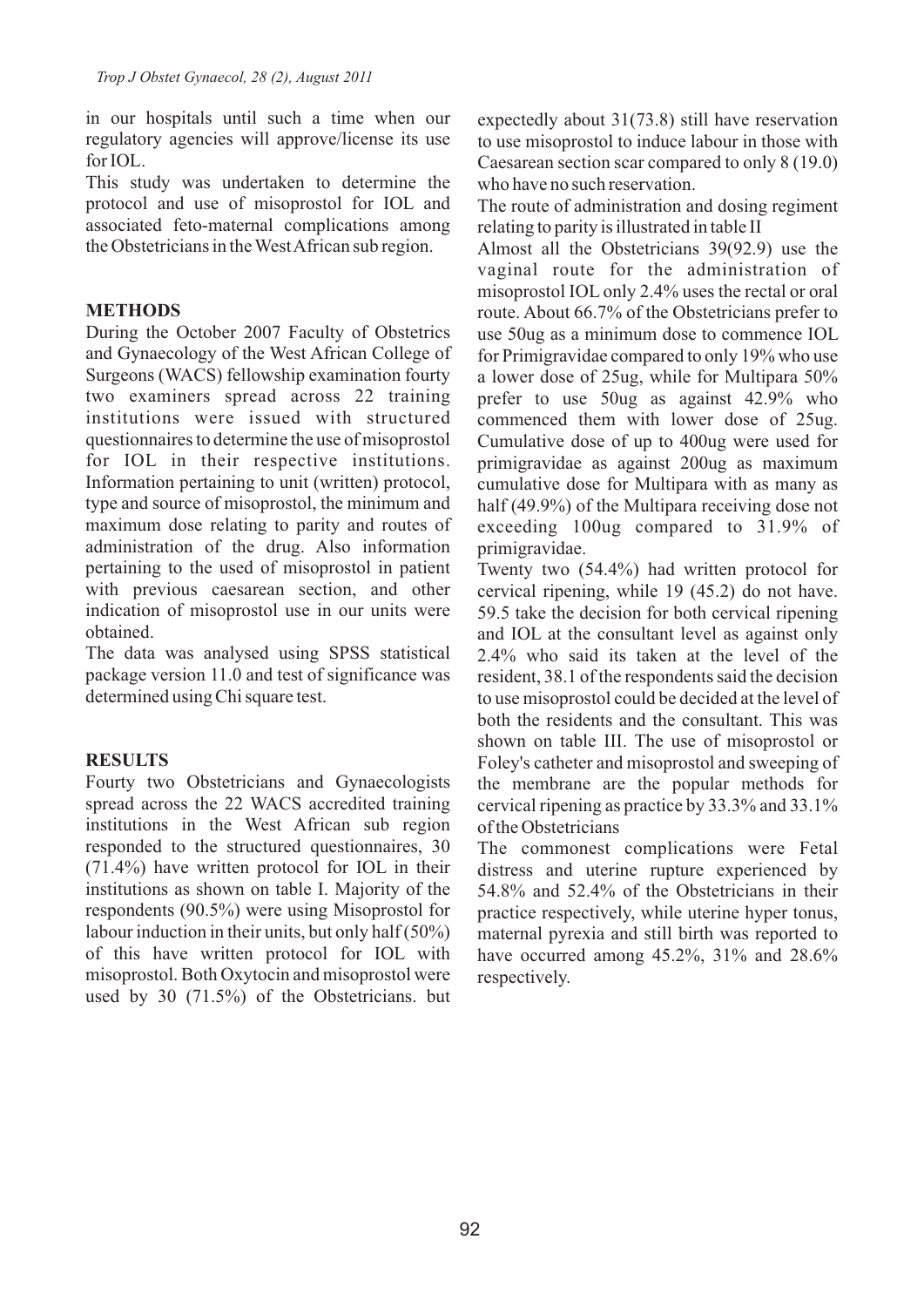in our hospitals until such a time when our regulatory agencies will approve/license its use for IOL.

This study was undertaken to determine the protocol and use of misoprostol for IOL and associated feto-maternal complications among the Obstetricians in the West African sub region.

## **METHODS**

During the October 2007 Faculty of Obstetrics and Gynaecology of the West African College of Surgeons (WACS) fellowship examination fourty two examiners spread across 22 training institutions were issued with structured questionnaires to determine the use of misoprostol for IOL in their respective institutions. Information pertaining to unit (written) protocol, type and source of misoprostol, the minimum and maximum dose relating to parity and routes of administration of the drug. Also information pertaining to the used of misoprostol in patient with previous caesarean section, and other indication of misoprostol use in our units were obtained.

The data was analysed using SPSS statistical package version 11.0 and test of significance was determined using Chi square test.

## **RESULTS**

Fourty two Obstetricians and Gynaecologists spread across the 22 WACS accredited training institutions in the West African sub region responded to the structured questionnaires, 30 (71.4%) have written protocol for IOL in their institutions as shown on table I. Majority of the respondents (90.5%) were using Misoprostol for labour induction in their units, but only half (50%) of this have written protocol for IOL with misoprostol. Both Oxytocin and misoprostol were used by 30 (71.5%) of the Obstetricians. but

expectedly about 31(73.8) still have reservation to use misoprostol to induce labour in those with Caesarean section scar compared to only 8 (19.0) who have no such reservation.

The route of administration and dosing regiment relating to parity is illustrated in table II

Almost all the Obstetricians 39(92.9) use the vaginal route for the administration of misoprostol IOL only 2.4% uses the rectal or oral route. About 66.7% of the Obstetricians prefer to use 50ug as a minimum dose to commence IOL for Primigravidae compared to only 19% who use a lower dose of 25ug, while for Multipara 50% prefer to use 50ug as against 42.9% who commenced them with lower dose of 25ug. Cumulative dose of up to 400ug were used for primigravidae as against 200ug as maximum cumulative dose for Multipara with as many as half (49.9%) of the Multipara receiving dose not exceeding 100ug compared to 31.9% of primigravidae.

Twenty two (54.4%) had written protocol for cervical ripening, while 19 (45.2) do not have. 59.5 take the decision for both cervical ripening and IOL at the consultant level as against only 2.4% who said its taken at the level of the resident, 38.1 of the respondents said the decision to use misoprostol could be decided at the level of both the residents and the consultant. This was shown on table III. The use of misoprostol or Foley's catheter and misoprostol and sweeping of the membrane are the popular methods for cervical ripening as practice by 33.3% and 33.1% of the Obstetricians

The commonest complications were Fetal distress and uterine rupture experienced by 54.8% and 52.4% of the Obstetricians in their practice respectively, while uterine hyper tonus, maternal pyrexia and still birth was reported to have occurred among 45.2%, 31% and 28.6% respectively.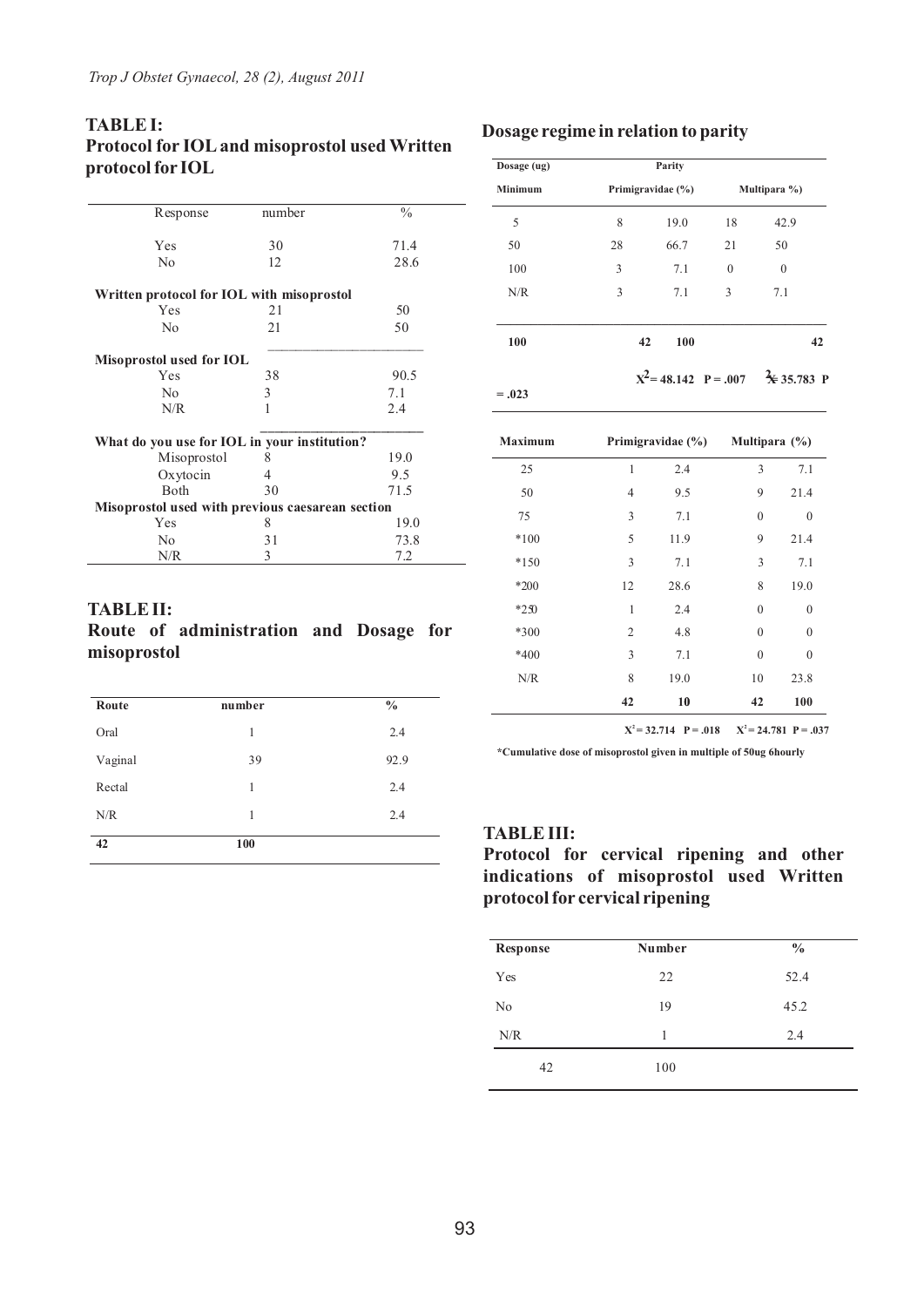## **TABLE I: Protocol for IOLand misoprostol used Written protocol for IOL**

| Response                                         | number         | $\frac{0}{0}$ |  |
|--------------------------------------------------|----------------|---------------|--|
| Yes                                              | 30             | 71.4          |  |
| No                                               | 12             | 28.6          |  |
| Written protocol for IOL with misoprostol        |                |               |  |
| Yes                                              | 21             | 50            |  |
| No                                               | 21             | 50            |  |
| Misoprostol used for IOL                         |                |               |  |
| Yes                                              | 38             | 90.5          |  |
| N <sub>0</sub>                                   | 3              | 7.1           |  |
| N/R                                              | 1              | 2.4           |  |
| What do you use for IOL in your institution?     |                |               |  |
| Misoprostol                                      | 8              | 19.0          |  |
| Oxytocin                                         | $\overline{4}$ | 9.5           |  |
| <b>Both</b>                                      | 30             | 71.5          |  |
| Misoprostol used with previous caesarean section |                |               |  |
| Yes                                              | 8              | 19.0          |  |
| No                                               | 31             | 73.8          |  |
| N/R                                              | 3              | 7.2           |  |

### **TABLE II:**

## **Route of administration and Dosage for misoprostol**

| Route   | number | $\frac{0}{0}$ |
|---------|--------|---------------|
| Oral    | 1      | 2.4           |
| Vaginal | 39     | 92.9          |
| Rectal  | 1      | 2.4           |
| N/R     | 1      | 2.4           |
| 42      | 100    |               |

#### **Dosage regime in relation to parity**

| Dosage (ug)    |    | Parity            |          |                                                |
|----------------|----|-------------------|----------|------------------------------------------------|
| <b>Minimum</b> |    | Primigravidae (%) |          | Multipara %)                                   |
| 5              | 8  | 19.0              | 18       | 42.9                                           |
| 50             | 28 | 66.7              | 21       | 50                                             |
| 100            | 3  | 7.1               | $\theta$ | $\mathbf{0}$                                   |
| N/R            | 3  | 7.1               | 3        | 7.1                                            |
| 100            |    | 42<br>100         |          | 42                                             |
| $=.023$        |    |                   |          | $X^2 = 48.142$ P = .007 $\frac{2}{X}$ 35.783 P |
|                |    |                   |          |                                                |

| <b>Maximum</b> |              | Primigravidae (%) |                  | Multipara $(\%)$ |
|----------------|--------------|-------------------|------------------|------------------|
| 25             | 1            | 2.4               | 3                | 7.1              |
| 50             | 4            | 9.5               | 9                | 21.4             |
| 75             | 3            | 7.1               | $\mathbf{0}$     | $\mathbf{0}$     |
| $*100$         | 5            | 11.9              | 9                | 21.4             |
| $*150$         | 3            | 7.1               | 3                | 7.1              |
| $*200$         | 12           | 28.6              | 8                | 19.0             |
| $*250$         | $\mathbf{1}$ | 2.4               | $\boldsymbol{0}$ | $\mathbf{0}$     |
| *300           | 2            | 4.8               | $\mathbf{0}$     | $\theta$         |
| *400           | 3            | 7.1               | $\mathbf{0}$     | $\theta$         |
| N/R            | 8            | 19.0              | 10               | 23.8             |
|                | 42           | 10                | 42               | 100              |

 $X^2 = 32.714$  **P** = .018  $X^2 = 24.781$  **P** = .037

**\*Cumulative dose of misoprostol given in multiple of 50ug 6hourly**

#### **TABLE III:**

**Protocol for cervical ripening and other indications of misoprostol used Written protocol for cervical ripening**

| <b>Response</b> | Number | $\frac{0}{0}$ |
|-----------------|--------|---------------|
| Yes             | 22     | 52.4          |
| No              | 19     | 45.2          |
| N/R             | 1      | 2.4           |
| 42              | 100    |               |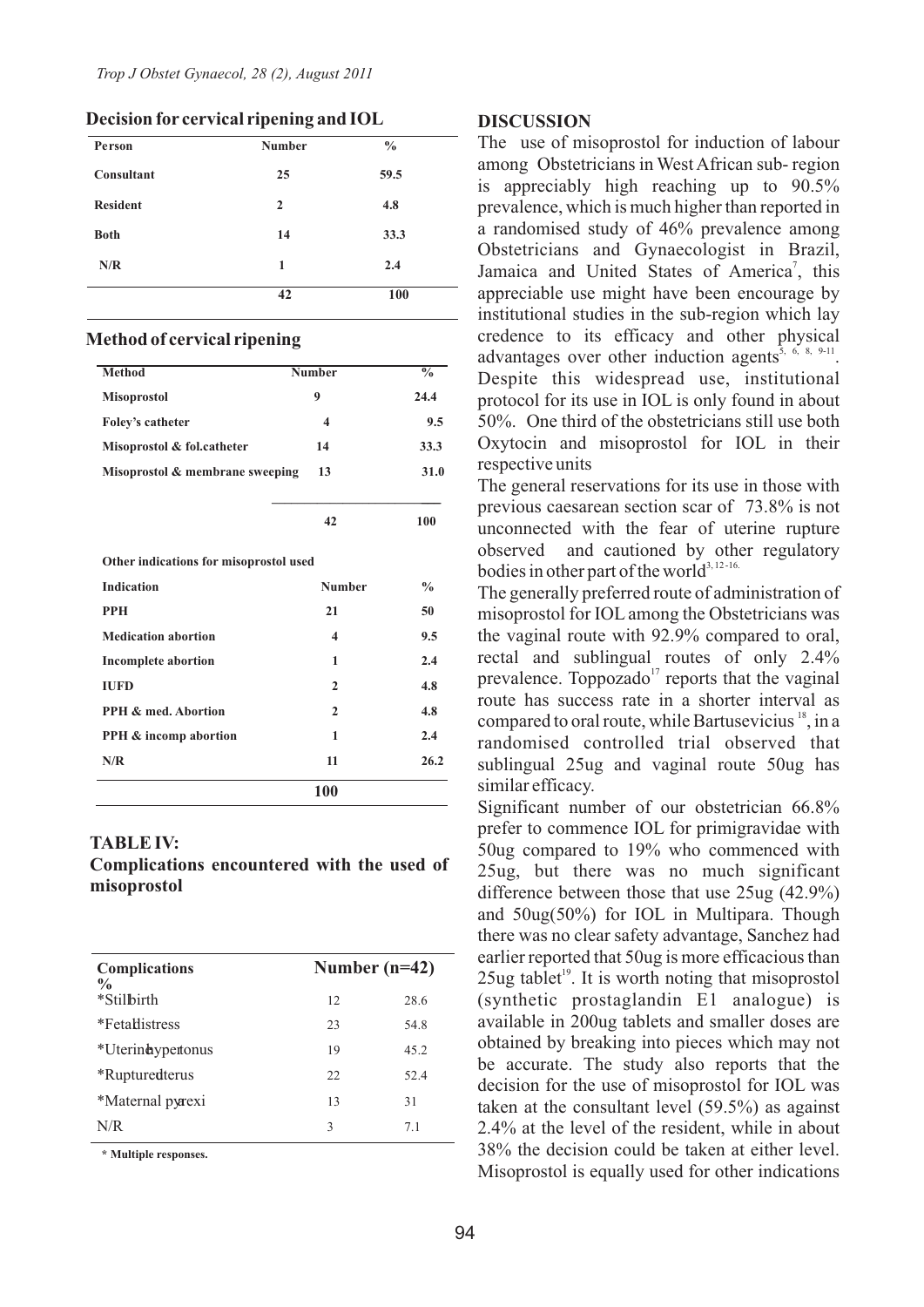| Person          | <b>Number</b>  | $\frac{6}{6}$ |
|-----------------|----------------|---------------|
| Consultant      | 25             | 59.5          |
| <b>Resident</b> | $\overline{2}$ | 4.8           |
| <b>Both</b>     | 14             | 33.3          |
| N/R             | 1              | 2.4           |
|                 | 42             | 100           |

**Decision for cervical ripening and IOL**

#### **Method of cervical ripening** Ī

| <b>Method</b>                   | <b>Number</b> | $\frac{0}{0}$ |
|---------------------------------|---------------|---------------|
| <b>Misoprostol</b>              | 9             | 24.4          |
| Foley's catheter                | 4             | 9.5           |
| Misoprostol & fol.catheter      | 14            | 33.3          |
| Misoprostol & membrane sweeping | 13            | <b>31.0</b>   |

**42 100** 

**\_\_\_\_\_\_\_\_\_\_\_\_\_\_\_\_\_\_\_\_\_\_\_\_\_\_ \_\_\_**

**Other indications for misoprostol used**

| <b>Indication</b>                | <b>Number</b>           | $\frac{0}{0}$ |
|----------------------------------|-------------------------|---------------|
| <b>PPH</b>                       | 21                      | 50            |
| <b>Medication abortion</b>       | $\overline{\mathbf{4}}$ | 9.5           |
| <b>Incomplete abortion</b>       | 1                       | 2.4           |
| <b>IUFD</b>                      | $\mathbf{2}$            | 4.8           |
| <b>PPH &amp; med. Abortion</b>   | $\mathbf{2}$            | 4.8           |
| <b>PPH &amp; incomp abortion</b> | 1                       | 2.4           |
| N/R                              | 11                      | 26.2          |
|                                  | 100                     |               |

#### **TABLE IV:**

**Complications encountered with the used of misoprostol**

| <b>Complications</b><br>$\frac{0}{0}$ | Number $(n=42)$ |      |
|---------------------------------------|-----------------|------|
| *Stilbirth                            | 12              | 28.6 |
| *Fetallistress                        | 23              | 54.8 |
| *Uterinaypertonus                     | 19              | 45.2 |
| <i>*</i> Rupturedterus                | 22.             | 52.4 |
| *Maternal pyrexi                      | 13              | 31   |
| N/R                                   | 3               | 71   |

**\* Multiple responses.**

#### **DISCUSSION**

The use of misoprostol for induction of labour among Obstetricians in West African sub- region is appreciably high reaching up to 90.5% prevalence, which is much higher than reported in a randomised study of 46% prevalence among Obstetricians and Gynaecologist in Brazil, Jamaica and United States of America<sup>7</sup>, this appreciable use might have been encourage by institutional studies in the sub-region which lay credence to its efficacy and other physical advantages over other induction agents<sup>5, 6, 8, 9-11</sup>. Despite this widespread use, institutional protocol for its use in IOL is only found in about 50%. One third of the obstetricians still use both Oxytocin and misoprostol for IOL in their respective units

The general reservations for its use in those with previous caesarean section scar of 73.8% is not unconnected with the fear of uterine rupture observed and cautioned by other regulatory bodies in other part of the world<sup>3, 12-16.</sup>

The generally preferred route of administration of misoprostol for IOL among the Obstetricians was the vaginal route with 92.9% compared to oral, rectal and sublingual routes of only 2.4% prevalence. Toppozado $17$  reports that the vaginal route has success rate in a shorter interval as compared to oral route, while Bartusevicius  $\frac{18}{15}$ , in a randomised controlled trial observed that sublingual 25ug and vaginal route 50ug has similar efficacy.

Significant number of our obstetrician 66.8% prefer to commence IOL for primigravidae with 50ug compared to 19% who commenced with 25ug, but there was no much significant difference between those that use 25ug (42.9%) and 50ug(50%) for IOL in Multipara. Though there was no clear safety advantage, Sanchez had earlier reported that 50ug is more efficacious than  $25$ ug tablet<sup>19</sup>. It is worth noting that misoprostol (synthetic prostaglandin E1 analogue) is available in 200ug tablets and smaller doses are obtained by breaking into pieces which may not be accurate. The study also reports that the decision for the use of misoprostol for IOL was taken at the consultant level (59.5%) as against 2.4% at the level of the resident, while in about 38% the decision could be taken at either level. Misoprostol is equally used for other indications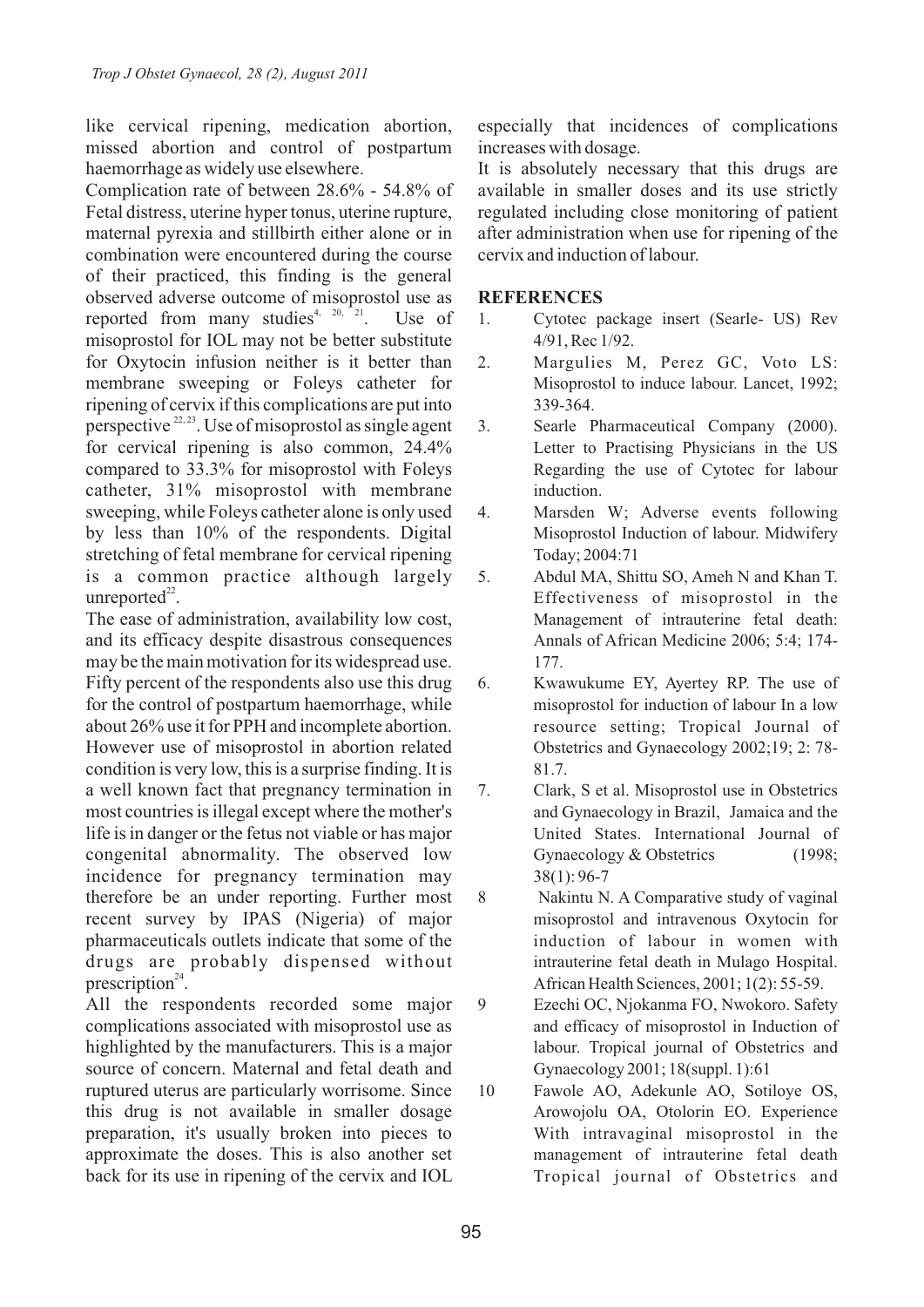like cervical ripening, medication abortion, missed abortion and control of postpartum haemorrhage as widely use elsewhere.

Complication rate of between 28.6% - 54.8% of Fetal distress, uterine hyper tonus, uterine rupture, maternal pyrexia and stillbirth either alone or in combination were encountered during the course of their practiced, this finding is the general observed adverse outcome of misoprostol use as reported from many studies<sup>4, 20, 21</sup>. Use of misoprostol for IOL may not be better substitute for Oxytocin infusion neither is it better than membrane sweeping or Foleys catheter for ripening of cervix if this complications are put into perspective  $2^{2,23}$ . Use of misoprostol as single agent for cervical ripening is also common, 24.4% compared to 33.3% for misoprostol with Foleys catheter, 31% misoprostol with membrane sweeping, while Foleys catheter alone is only used by less than 10% of the respondents. Digital stretching of fetal membrane for cervical ripening is a common practice although largely unreported $^{22}$ .

The ease of administration, availability low cost, and its efficacy despite disastrous consequences may be the main motivation for its widespread use. Fifty percent of the respondents also use this drug for the control of postpartum haemorrhage, while about 26% use it for PPH and incomplete abortion. However use of misoprostol in abortion related condition is very low, this is a surprise finding. It is a well known fact that pregnancy termination in most countries is illegal except where the mother's life is in danger or the fetus not viable or has major congenital abnormality. The observed low incidence for pregnancy termination may therefore be an under reporting. Further most recent survey by IPAS (Nigeria) of major pharmaceuticals outlets indicate that some of the drugs are probably dispensed without prescription $24$ .

All the respondents recorded some major complications associated with misoprostol use as highlighted by the manufacturers. This is a major source of concern. Maternal and fetal death and ruptured uterus are particularly worrisome. Since this drug is not available in smaller dosage preparation, it's usually broken into pieces to approximate the doses. This is also another set back for its use in ripening of the cervix and IOL especially that incidences of complications increases with dosage.

It is absolutely necessary that this drugs are available in smaller doses and its use strictly regulated including close monitoring of patient after administration when use for ripening of the cervix and induction of labour.

## **REFERENCES**

- 1. Cytotec package insert (Searle- US) Rev 4/91, Rec 1/92.
- 2. Margulies M, Perez GC, Voto LS: Misoprostol to induce labour. Lancet, 1992; 339-364.
- 3. Searle Pharmaceutical Company (2000). Letter to Practising Physicians in the US Regarding the use of Cytotec for labour induction.
- 4. Marsden W; Adverse events following Misoprostol Induction of labour. Midwifery Today; 2004:71
- 5. Abdul MA, Shittu SO, Ameh N and Khan T. Effectiveness of misoprostol in the Management of intrauterine fetal death: Annals of African Medicine 2006; 5:4; 174- 177.
- 6. Kwawukume EY, Ayertey RP. The use of misoprostol for induction of labour In a low resource setting; Tropical Journal of Obstetrics and Gynaecology 2002;19; 2: 78- 81.7.
- 7. Clark, S et al. Misoprostol use in Obstetrics and Gynaecology in Brazil, Jamaica and the United States. International Journal of Gynaecology & Obstetrics (1998; 38(1): 96-7
- 8 Nakintu N. A Comparative study of vaginal misoprostol and intravenous Oxytocin for induction of labour in women with intrauterine fetal death in Mulago Hospital. African Health Sciences, 2001; 1(2): 55-59.
- 9 Ezechi OC, Njokanma FO, Nwokoro. Safety and efficacy of misoprostol in Induction of labour. Tropical journal of Obstetrics and Gynaecology 2001; 18(suppl. 1):61
- 10 Fawole AO, Adekunle AO, Sotiloye OS, Arowojolu OA, Otolorin EO. Experience With intravaginal misoprostol in the management of intrauterine fetal death Tropical journal of Obstetrics and